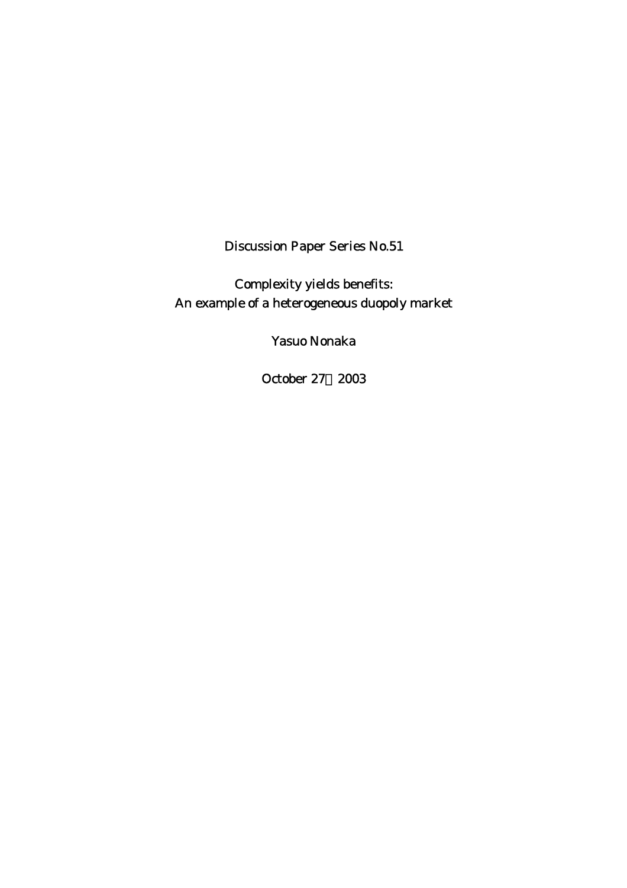Discussion Paper Series No.51

Complexity yields benefits: An example of a heterogeneous duopoly market

Yasuo Nonaka

October 27,2003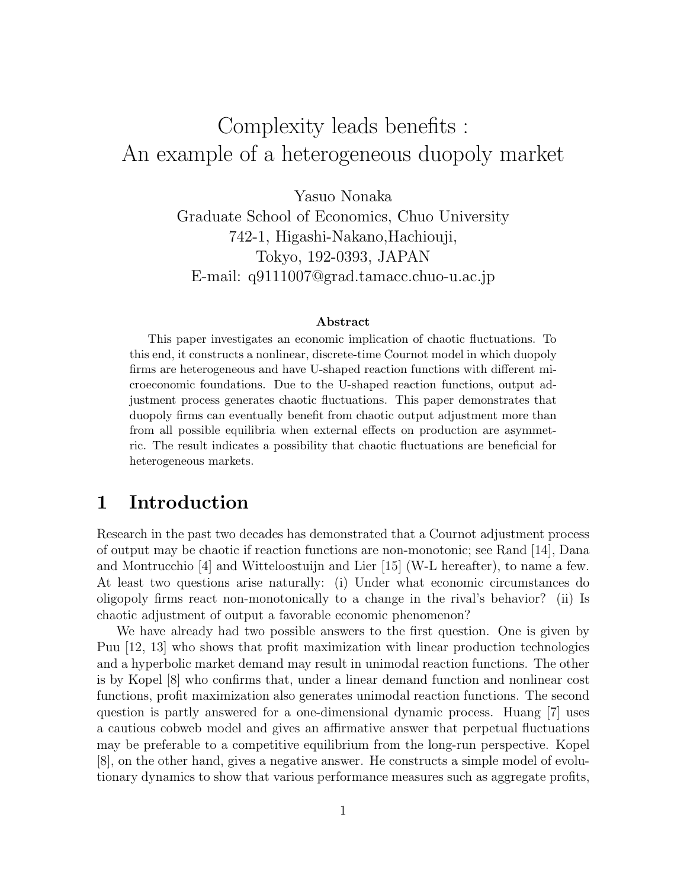# Complexity leads benefits : An example of a heterogeneous duopoly market

Yasuo Nonaka Graduate School of Economics, Chuo University 742-1, Higashi-Nakano,Hachiouji, Tokyo, 192-0393, JAPAN E-mail: q9111007@grad.tamacc.chuo-u.ac.jp

#### **Abstract**

This paper investigates an economic implication of chaotic fluctuations. To this end, it constructs a nonlinear, discrete-time Cournot model in which duopoly firms are heterogeneous and have U-shaped reaction functions with different microeconomic foundations. Due to the U-shaped reaction functions, output adjustment process generates chaotic fluctuations. This paper demonstrates that duopoly firms can eventually benefit from chaotic output adjustment more than from all possible equilibria when external effects on production are asymmetric. The result indicates a possibility that chaotic fluctuations are beneficial for heterogeneous markets.

## **1 Introduction**

Research in the past two decades has demonstrated that a Cournot adjustment process of output may be chaotic if reaction functions are non-monotonic; see Rand [14], Dana and Montrucchio [4] and Witteloostuijn and Lier [15] (W-L hereafter), to name a few. At least two questions arise naturally: (i) Under what economic circumstances do oligopoly firms react non-monotonically to a change in the rival's behavior? (ii) Is chaotic adjustment of output a favorable economic phenomenon?

We have already had two possible answers to the first question. One is given by Puu [12, 13] who shows that profit maximization with linear production technologies and a hyperbolic market demand may result in unimodal reaction functions. The other is by Kopel [8] who confirms that, under a linear demand function and nonlinear cost functions, profit maximization also generates unimodal reaction functions. The second question is partly answered for a one-dimensional dynamic process. Huang [7] uses a cautious cobweb model and gives an affirmative answer that perpetual fluctuations may be preferable to a competitive equilibrium from the long-run perspective. Kopel [8], on the other hand, gives a negative answer. He constructs a simple model of evolutionary dynamics to show that various performance measures such as aggregate profits,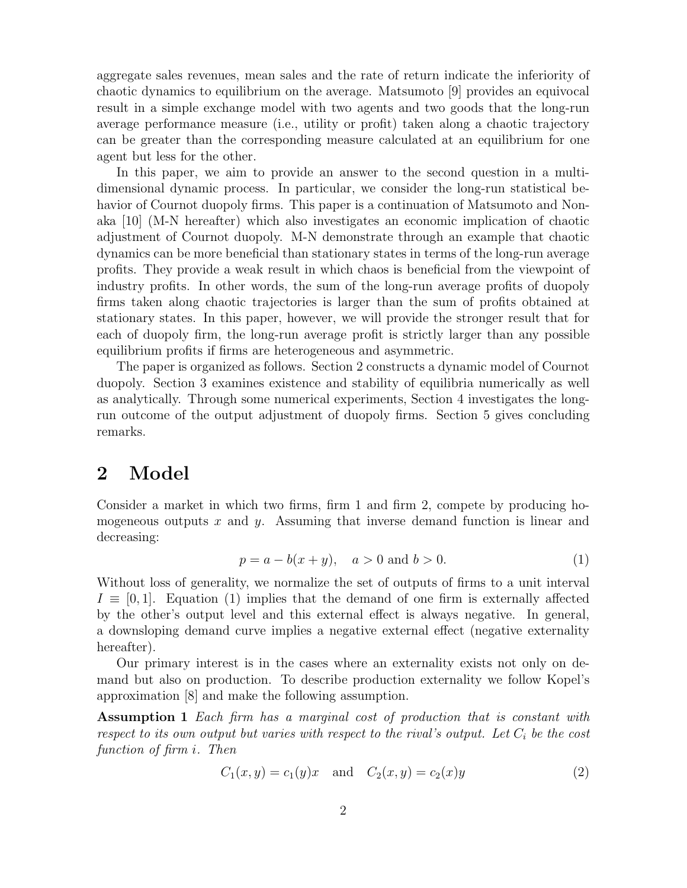aggregate sales revenues, mean sales and the rate of return indicate the inferiority of chaotic dynamics to equilibrium on the average. Matsumoto [9] provides an equivocal result in a simple exchange model with two agents and two goods that the long-run average performance measure (i.e., utility or profit) taken along a chaotic trajectory can be greater than the corresponding measure calculated at an equilibrium for one agent but less for the other.

In this paper, we aim to provide an answer to the second question in a multidimensional dynamic process. In particular, we consider the long-run statistical behavior of Cournot duopoly firms. This paper is a continuation of Matsumoto and Nonaka [10] (M-N hereafter) which also investigates an economic implication of chaotic adjustment of Cournot duopoly. M-N demonstrate through an example that chaotic dynamics can be more beneficial than stationary states in terms of the long-run average profits. They provide a weak result in which chaos is beneficial from the viewpoint of industry profits. In other words, the sum of the long-run average profits of duopoly firms taken along chaotic trajectories is larger than the sum of profits obtained at stationary states. In this paper, however, we will provide the stronger result that for each of duopoly firm, the long-run average profit is strictly larger than any possible equilibrium profits if firms are heterogeneous and asymmetric.

The paper is organized as follows. Section 2 constructs a dynamic model of Cournot duopoly. Section 3 examines existence and stability of equilibria numerically as well as analytically. Through some numerical experiments, Section 4 investigates the longrun outcome of the output adjustment of duopoly firms. Section 5 gives concluding remarks.

## **2 Model**

Consider a market in which two firms, firm 1 and firm 2, compete by producing homogeneous outputs  $x$  and  $y$ . Assuming that inverse demand function is linear and decreasing:

$$
p = a - b(x + y), \quad a > 0 \text{ and } b > 0.
$$
 (1)

Without loss of generality, we normalize the set of outputs of firms to a unit interval  $I \equiv [0, 1]$ . Equation (1) implies that the demand of one firm is externally affected by the other's output level and this external effect is always negative. In general, a downsloping demand curve implies a negative external effect (negative externality hereafter).

Our primary interest is in the cases where an externality exists not only on demand but also on production. To describe production externality we follow Kopel's approximation [8] and make the following assumption.

**Assumption 1** *Each firm has a marginal cost of production that is constant with respect to its own output but varies with respect to the rival's output. Let*  $C_i$  *be the cost function of firm* i*. Then*

$$
C_1(x, y) = c_1(y)x \text{ and } C_2(x, y) = c_2(x)y \tag{2}
$$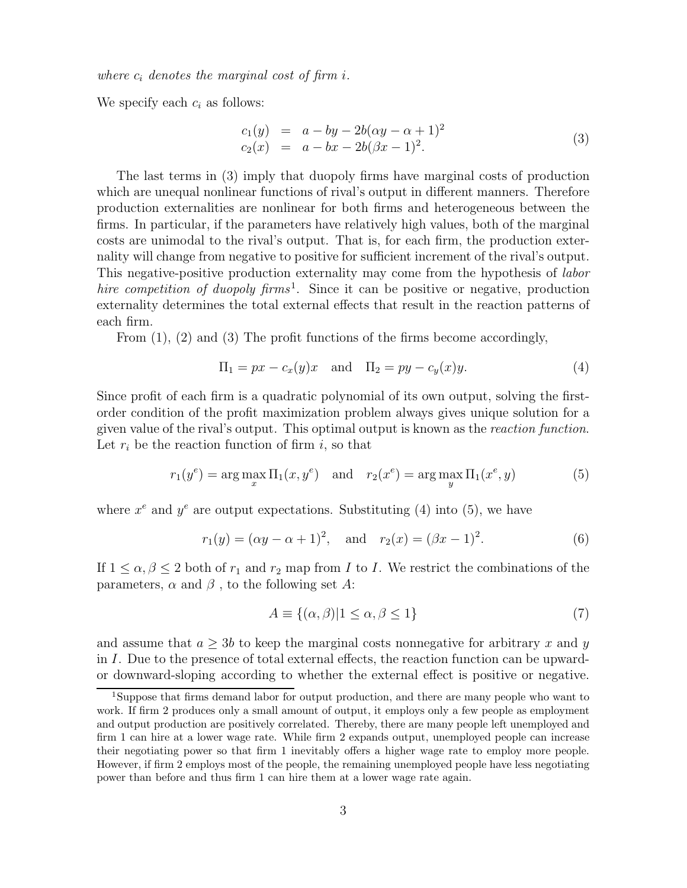*where*  $c_i$  *denotes the marginal cost of firm i.* 

We specify each  $c_i$  as follows:

$$
c_1(y) = a - by - 2b(\alpha y - \alpha + 1)^2
$$
  
\n
$$
c_2(x) = a - bx - 2b(\beta x - 1)^2.
$$
\n(3)

The last terms in (3) imply that duopoly firms have marginal costs of production which are unequal nonlinear functions of rival's output in different manners. Therefore production externalities are nonlinear for both firms and heterogeneous between the firms. In particular, if the parameters have relatively high values, both of the marginal costs are unimodal to the rival's output. That is, for each firm, the production externality will change from negative to positive for sufficient increment of the rival's output. This negative-positive production externality may come from the hypothesis of *labor hire competition of duopoly firms*<sup>1</sup>. Since it can be positive or negative, production externality determines the total external effects that result in the reaction patterns of each firm.

From (1), (2) and (3) The profit functions of the firms become accordingly,

$$
\Pi_1 = px - c_x(y)x \quad \text{and} \quad \Pi_2 = py - c_y(x)y. \tag{4}
$$

Since profit of each firm is a quadratic polynomial of its own output, solving the firstorder condition of the profit maximization problem always gives unique solution for a given value of the rival's output. This optimal output is known as the *reaction function*. Let  $r_i$  be the reaction function of firm i, so that

$$
r_1(y^e) = \arg\max_x \Pi_1(x, y^e) \quad \text{and} \quad r_2(x^e) = \arg\max_y \Pi_1(x^e, y) \tag{5}
$$

where  $x^e$  and  $y^e$  are output expectations. Substituting (4) into (5), we have

$$
r_1(y) = (\alpha y - \alpha + 1)^2
$$
, and  $r_2(x) = (\beta x - 1)^2$ . (6)

If  $1 \leq \alpha, \beta \leq 2$  both of  $r_1$  and  $r_2$  map from I to I. We restrict the combinations of the parameters,  $\alpha$  and  $\beta$ , to the following set A:

$$
A \equiv \{ (\alpha, \beta) | 1 \le \alpha, \beta \le 1 \}
$$
\n<sup>(7)</sup>

and assume that  $a \geq 3b$  to keep the marginal costs nonnegative for arbitrary x and y in I. Due to the presence of total external effects, the reaction function can be upwardor downward-sloping according to whether the external effect is positive or negative.

<sup>1</sup>Suppose that firms demand labor for output production, and there are many people who want to work. If firm 2 produces only a small amount of output, it employs only a few people as employment and output production are positively correlated. Thereby, there are many people left unemployed and firm 1 can hire at a lower wage rate. While firm 2 expands output, unemployed people can increase their negotiating power so that firm 1 inevitably offers a higher wage rate to employ more people. However, if firm 2 employs most of the people, the remaining unemployed people have less negotiating power than before and thus firm 1 can hire them at a lower wage rate again.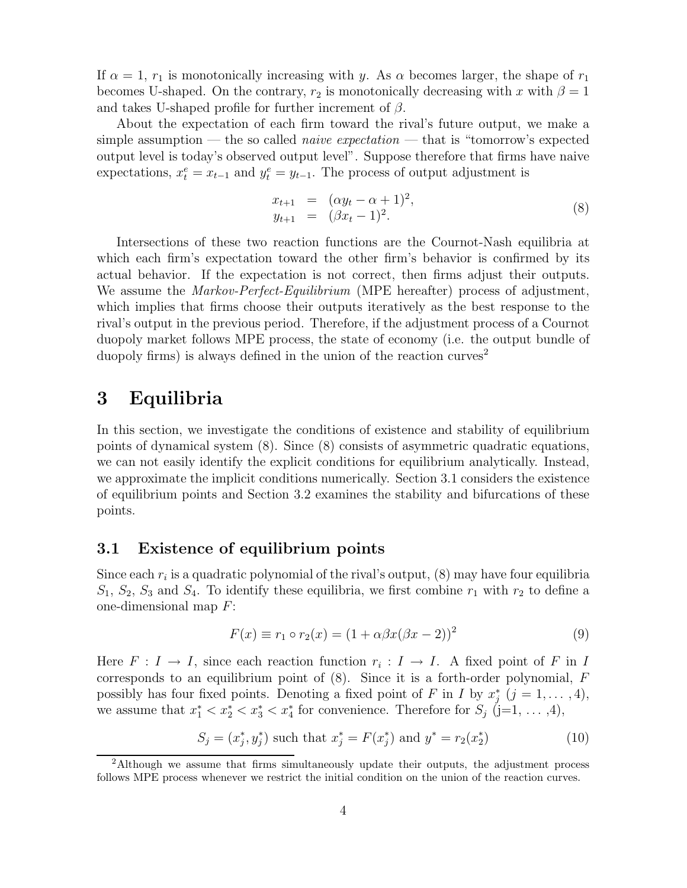If  $\alpha = 1$ ,  $r_1$  is monotonically increasing with y. As  $\alpha$  becomes larger, the shape of  $r_1$ becomes U-shaped. On the contrary,  $r_2$  is monotonically decreasing with x with  $\beta = 1$ and takes U-shaped profile for further increment of  $\beta$ .

About the expectation of each firm toward the rival's future output, we make a simple assumption — the so called *naive expectation* — that is "tomorrow's expected output level is today's observed output level". Suppose therefore that firms have naive expectations,  $x_t^e = x_{t-1}$  and  $y_t^e = y_{t-1}$ . The process of output adjustment is

$$
x_{t+1} = (\alpha y_t - \alpha + 1)^2, \n y_{t+1} = (\beta x_t - 1)^2.
$$
\n(8)

Intersections of these two reaction functions are the Cournot-Nash equilibria at which each firm's expectation toward the other firm's behavior is confirmed by its actual behavior. If the expectation is not correct, then firms adjust their outputs. We assume the *Markov-Perfect-Equilibrium* (MPE hereafter) process of adjustment, which implies that firms choose their outputs iteratively as the best response to the rival's output in the previous period. Therefore, if the adjustment process of a Cournot duopoly market follows MPE process, the state of economy (i.e. the output bundle of duopoly firms) is always defined in the union of the reaction curves<sup>2</sup>

## **3 Equilibria**

In this section, we investigate the conditions of existence and stability of equilibrium points of dynamical system (8). Since (8) consists of asymmetric quadratic equations, we can not easily identify the explicit conditions for equilibrium analytically. Instead, we approximate the implicit conditions numerically. Section 3.1 considers the existence of equilibrium points and Section 3.2 examines the stability and bifurcations of these points.

#### **3.1 Existence of equilibrium points**

Since each  $r_i$  is a quadratic polynomial of the rival's output,  $(8)$  may have four equilibria  $S_1, S_2, S_3$  and  $S_4$ . To identify these equilibria, we first combine  $r_1$  with  $r_2$  to define a one-dimensional map F:

$$
F(x) \equiv r_1 \circ r_2(x) = (1 + \alpha \beta x (\beta x - 2))^2
$$
\n(9)

Here  $F: I \to I$ , since each reaction function  $r_i: I \to I$ . A fixed point of F in I corresponds to an equilibrium point of  $(8)$ . Since it is a forth-order polynomial, F possibly has four fixed points. Denoting a fixed point of F in I by  $x_j^*$   $(j = 1, ..., 4)$ , we assume that  $x_1^* < x_2^* < x_3^* < x_4^*$  for convenience. Therefore for  $S_j$  (j=1, ..., 4),

$$
S_j = (x_j^*, y_j^*) \text{ such that } x_j^* = F(x_j^*) \text{ and } y^* = r_2(x_2^*)
$$
 (10)

<sup>&</sup>lt;sup>2</sup>Although we assume that firms simultaneously update their outputs, the adjustment process follows MPE process whenever we restrict the initial condition on the union of the reaction curves.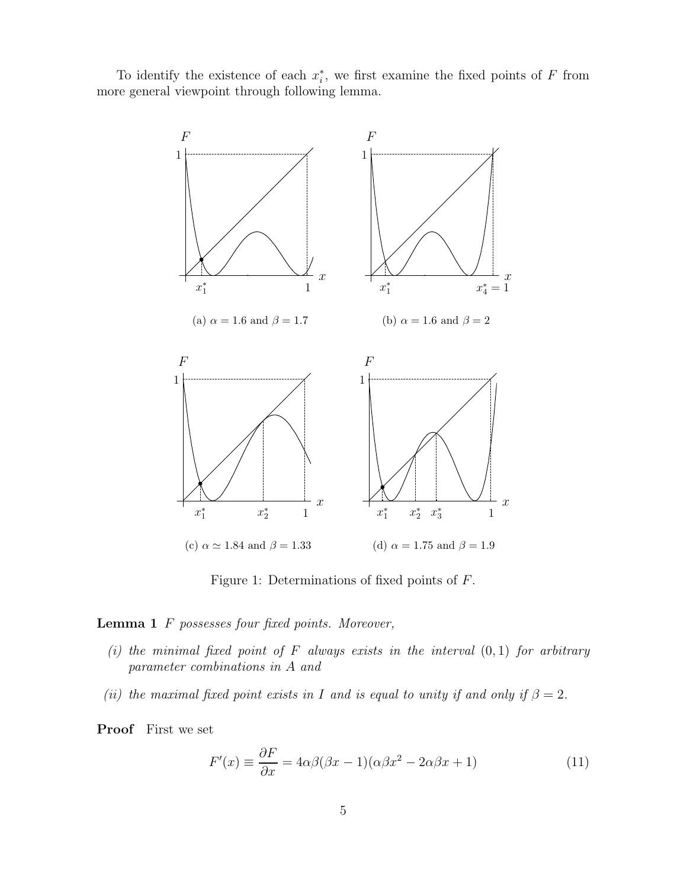To identify the existence of each  $x_i^*$ , we first examine the fixed points of F from more general viewpoint through following lemma.



Figure 1: Determinations of fixed points of F.

**Lemma 1** F *possesses four fixed points. Moreover,*

- *(i) the minimal fixed point of* F *always exists in the interval* (0, 1) *for arbitrary parameter combinations in* A *and*
- *(ii) the maximal fixed point exists in* I *and is equal to unity if and only if*  $\beta = 2$ *.*

**Proof** First we set

$$
F'(x) \equiv \frac{\partial F}{\partial x} = 4\alpha\beta(\beta x - 1)(\alpha\beta x^2 - 2\alpha\beta x + 1)
$$
\n(11)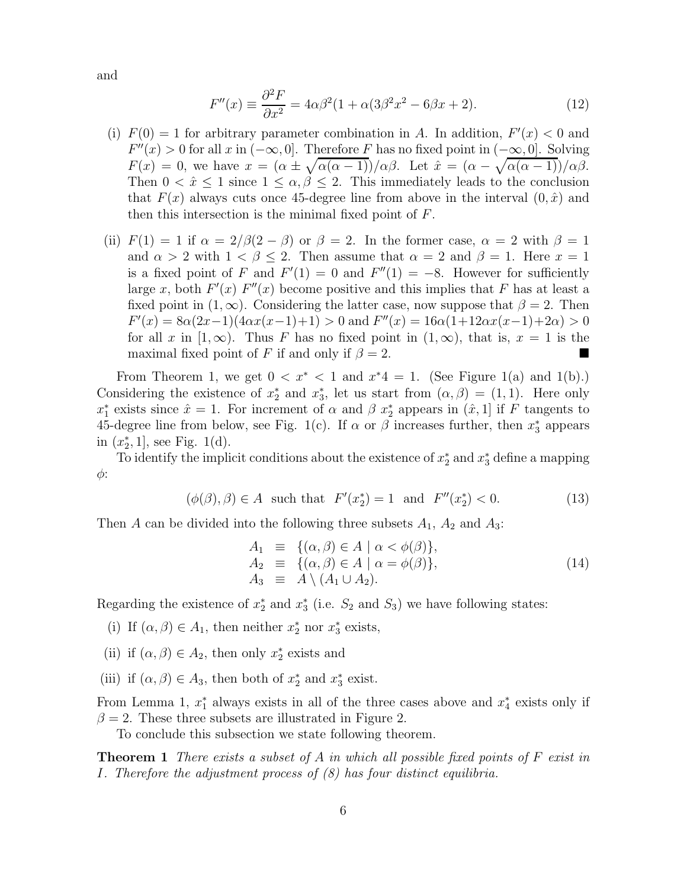and

$$
F''(x) \equiv \frac{\partial^2 F}{\partial x^2} = 4\alpha\beta^2(1 + \alpha(3\beta^2 x^2 - 6\beta x + 2). \tag{12}
$$

- (i)  $F(0) = 1$  for arbitrary parameter combination in A. In addition,  $F'(x) < 0$  and  $F''(x) > 0$  for all x in  $(-\infty, 0]$ . Therefore F has no fixed point in  $(-\infty, 0]$ . Solving  $F(x) = 0$ , we have  $x = (\alpha \pm \sqrt{\alpha(\alpha - 1)})/\alpha\beta$ . Let  $\hat{x} = (\alpha - \sqrt{\alpha(\alpha - 1)})/\alpha\beta$ . Then  $0 < \hat{x} \leq 1$  since  $1 \leq \alpha, \beta \leq 2$ . This immediately leads to the conclusion that  $F(x)$  always cuts once 45-degree line from above in the interval  $(0, \hat{x})$  and then this intersection is the minimal fixed point of  $F$ .
- (ii)  $F(1) = 1$  if  $\alpha = 2/\beta(2-\beta)$  or  $\beta = 2$ . In the former case,  $\alpha = 2$  with  $\beta = 1$ and  $\alpha > 2$  with  $1 < \beta \leq 2$ . Then assume that  $\alpha = 2$  and  $\beta = 1$ . Here  $x = 1$ is a fixed point of F and  $F'(1) = 0$  and  $F''(1) = -8$ . However for sufficiently large x, both  $F'(x)$   $F''(x)$  become positive and this implies that F has at least a fixed point in  $(1, \infty)$ . Considering the latter case, now suppose that  $\beta = 2$ . Then  $F'(x) = 8\alpha(2x-1)(4\alpha x(x-1)+1) > 0$  and  $F''(x) = 16\alpha(1+12\alpha x(x-1)+2\alpha) > 0$ for all x in  $[1,\infty)$ . Thus F has no fixed point in  $(1,\infty)$ , that is,  $x = 1$  is the maximal fixed point of F if and only if  $\beta = 2$ .

From Theorem 1, we get  $0 < x^* < 1$  and  $x^*4 = 1$ . (See Figure 1(a) and 1(b).) Considering the existence of  $x_2^*$  and  $x_3^*$ , let us start from  $(\alpha, \beta) = (1, 1)$ . Here only  $x_1^*$  exists since  $\hat{x} = 1$ . For increment of  $\alpha$  and  $\beta$   $x_2^*$  appears in  $(\hat{x}, 1]$  if F tangents to 45-degree line from below, see Fig. 1(c). If  $\alpha$  or  $\beta$  increases further, then  $x_3^*$  appears in  $(x_2^*, 1]$ , see Fig. 1(d).

To identify the implicit conditions about the existence of  $x_2^*$  and  $x_3^*$  define a mapping  $\phi$ :

$$
(\phi(\beta), \beta) \in A
$$
 such that  $F'(x_2^*) = 1$  and  $F''(x_2^*) < 0.$  (13)

Then A can be divided into the following three subsets  $A_1$ ,  $A_2$  and  $A_3$ :

$$
A_1 \equiv \{ (\alpha, \beta) \in A \mid \alpha < \phi(\beta) \},
$$
  
\n
$$
A_2 \equiv \{ (\alpha, \beta) \in A \mid \alpha = \phi(\beta) \},
$$
  
\n
$$
A_3 \equiv A \setminus (A_1 \cup A_2).
$$
\n(14)

Regarding the existence of  $x_2^*$  and  $x_3^*$  (i.e.  $S_2$  and  $S_3$ ) we have following states:

- (i) If  $(\alpha, \beta) \in A_1$ , then neither  $x_2^*$  nor  $x_3^*$  exists,
- (ii) if  $(\alpha, \beta) \in A_2$ , then only  $x_2^*$  exists and
- (iii) if  $(\alpha, \beta) \in A_3$ , then both of  $x_2^*$  and  $x_3^*$  exist.

From Lemma 1,  $x_1^*$  always exists in all of the three cases above and  $x_4^*$  exists only if  $\beta = 2$ . These three subsets are illustrated in Figure 2.

To conclude this subsection we state following theorem.

**Theorem 1** *There exists a subset of* A *in which all possible fixed points of* F *exist in* I*. Therefore the adjustment process of (8) has four distinct equilibria.*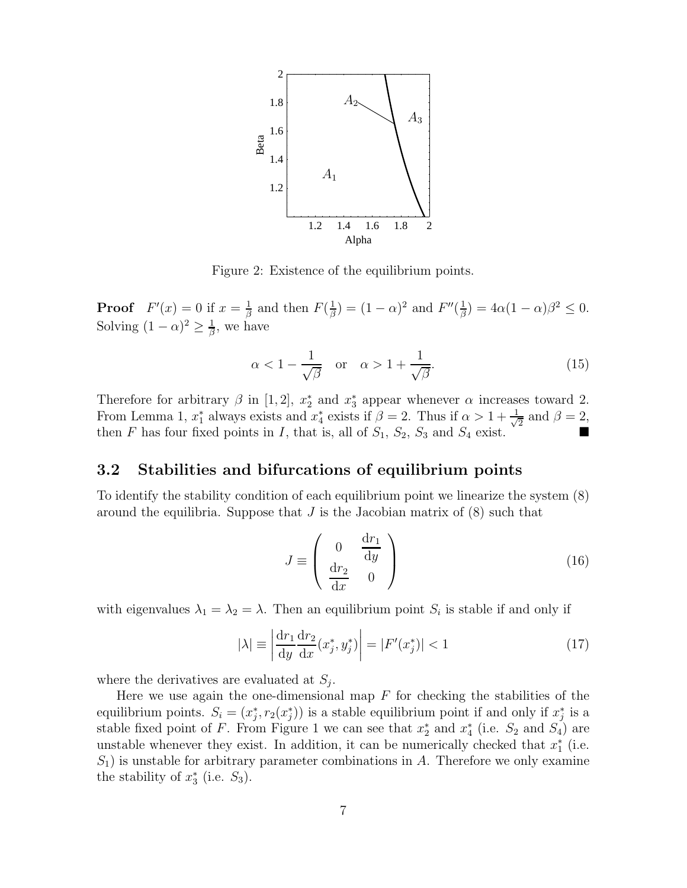

Figure 2: Existence of the equilibrium points.

**Proof**  $F'(x) = 0$  if  $x = \frac{1}{\beta}$  and then  $F(\frac{1}{\beta}) = (1 - \alpha)^2$  and  $F''(\frac{1}{\beta}) = 4\alpha(1 - \alpha)\beta^2 \le 0$ . Solving  $(1 - \alpha)^2 \geq \frac{1}{\beta}$ , we have

$$
\alpha < 1 - \frac{1}{\sqrt{\beta}} \quad \text{or} \quad \alpha > 1 + \frac{1}{\sqrt{\beta}}.\tag{15}
$$

Therefore for arbitrary  $\beta$  in [1,2],  $x_2^*$  and  $x_3^*$  appear whenever  $\alpha$  increases toward 2. From Lemma 1,  $x_1^*$  always exists and  $x_4^*$  exists if  $\beta = 2$ . Thus if  $\alpha > 1 + \frac{1}{\sqrt{2}}$  and  $\beta = 2$ . then F has four fixed points in I, that is, all of  $S_1$ ,  $S_2$ ,  $S_3$  and  $S_4$  exist.

### **3.2 Stabilities and bifurcations of equilibrium points**

To identify the stability condition of each equilibrium point we linearize the system (8) around the equilibria. Suppose that  $J$  is the Jacobian matrix of  $(8)$  such that

$$
J \equiv \begin{pmatrix} 0 & \frac{\mathrm{d}r_1}{\mathrm{d}y} \\ \frac{\mathrm{d}r_2}{\mathrm{d}x} & 0 \end{pmatrix}
$$
 (16)

with eigenvalues  $\lambda_1 = \lambda_2 = \lambda$ . Then an equilibrium point  $S_i$  is stable if and only if

$$
|\lambda| \equiv \left| \frac{\mathrm{d}r_1}{\mathrm{d}y} \frac{\mathrm{d}r_2}{\mathrm{d}x} (x_j^*, y_j^*) \right| = |F'(x_j^*)| < 1 \tag{17}
$$

where the derivatives are evaluated at  $S_i$ .

Here we use again the one-dimensional map  $F$  for checking the stabilities of the equilibrium points.  $S_i = (x_j^*, r_2(x_j^*))$  is a stable equilibrium point if and only if  $x_j^*$  is a stable fixed point of F. From Figure 1 we can see that  $x_2^*$  and  $x_4^*$  (i.e.  $S_2$  and  $S_4$ ) are unstable whenever they exist. In addition, it can be numerically checked that  $x_1^*$  (i.e.  $S_1$ ) is unstable for arbitrary parameter combinations in A. Therefore we only examine the stability of  $x_3^*$  (i.e.  $S_3$ ).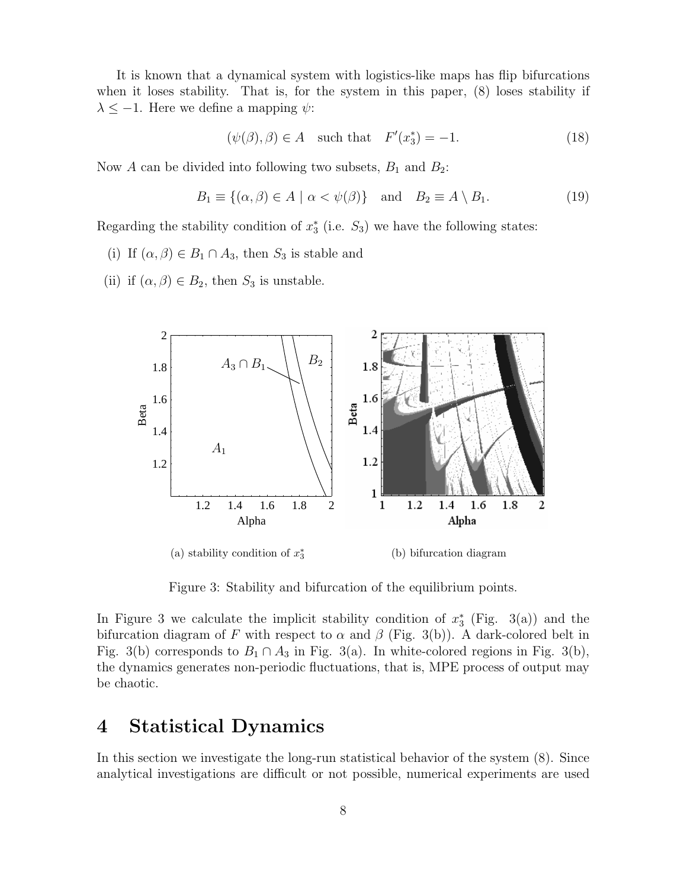It is known that a dynamical system with logistics-like maps has flip bifurcations when it loses stability. That is, for the system in this paper, (8) loses stability if  $\lambda \leq -1$ . Here we define a mapping  $\psi$ :

$$
(\psi(\beta), \beta) \in A \quad \text{such that} \quad F'(x_3^*) = -1. \tag{18}
$$

Now A can be divided into following two subsets,  $B_1$  and  $B_2$ :

$$
B_1 \equiv \{ (\alpha, \beta) \in A \mid \alpha < \psi(\beta) \} \quad \text{and} \quad B_2 \equiv A \setminus B_1. \tag{19}
$$

Regarding the stability condition of  $x_3^*$  (i.e.  $S_3$ ) we have the following states:

(i) If  $(\alpha, \beta) \in B_1 \cap A_3$ , then  $S_3$  is stable and

(ii) if  $(\alpha, \beta) \in B_2$ , then  $S_3$  is unstable.



Figure 3: Stability and bifurcation of the equilibrium points.

In Figure 3 we calculate the implicit stability condition of  $x_3^*$  (Fig. 3(a)) and the bifurcation diagram of F with respect to  $\alpha$  and  $\beta$  (Fig. 3(b)). A dark-colored belt in Fig. 3(b) corresponds to  $B_1 \cap A_3$  in Fig. 3(a). In white-colored regions in Fig. 3(b), the dynamics generates non-periodic fluctuations, that is, MPE process of output may be chaotic.

## **4 Statistical Dynamics**

In this section we investigate the long-run statistical behavior of the system (8). Since analytical investigations are difficult or not possible, numerical experiments are used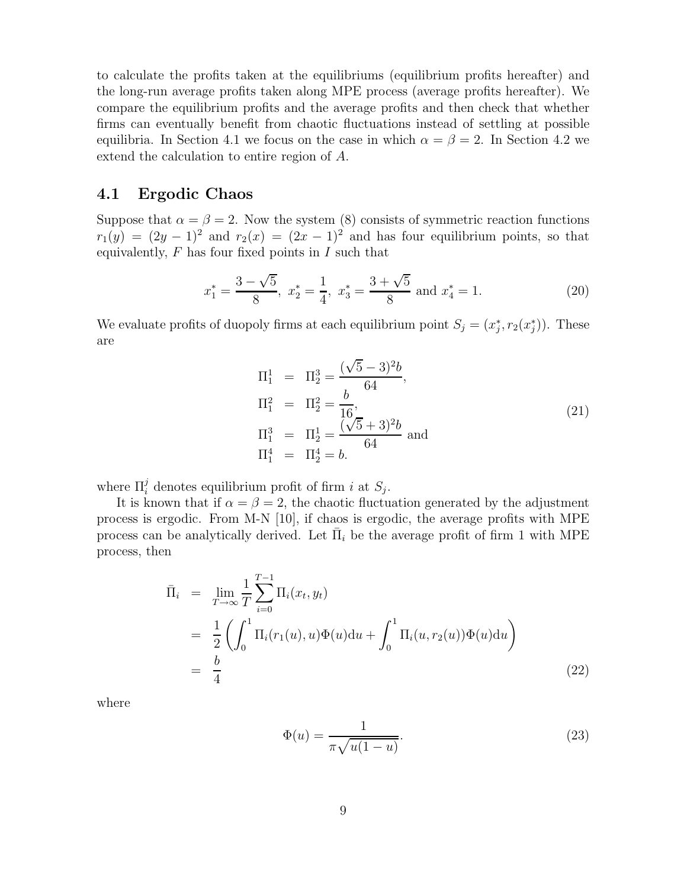to calculate the profits taken at the equilibriums (equilibrium profits hereafter) and the long-run average profits taken along MPE process (average profits hereafter). We compare the equilibrium profits and the average profits and then check that whether firms can eventually benefit from chaotic fluctuations instead of settling at possible equilibria. In Section 4.1 we focus on the case in which  $\alpha = \beta = 2$ . In Section 4.2 we extend the calculation to entire region of A.

#### **4.1 Ergodic Chaos**

Suppose that  $\alpha = \beta = 2$ . Now the system (8) consists of symmetric reaction functions  $r_1(y) = (2y - 1)^2$  and  $r_2(x) = (2x - 1)^2$  and has four equilibrium points, so that equivalently,  $F$  has four fixed points in  $I$  such that

$$
x_1^* = \frac{3 - \sqrt{5}}{8}
$$
,  $x_2^* = \frac{1}{4}$ ,  $x_3^* = \frac{3 + \sqrt{5}}{8}$  and  $x_4^* = 1$ . (20)

We evaluate profits of duopoly firms at each equilibrium point  $S_j = (x_j^*, r_2(x_j^*))$ . These are

$$
\Pi_1^1 = \Pi_2^3 = \frac{(\sqrt{5} - 3)^2 b}{64},
$$
\n
$$
\Pi_1^2 = \Pi_2^2 = \frac{b}{16},
$$
\n
$$
\Pi_1^3 = \Pi_2^1 = \frac{(\sqrt{5} + 3)^2 b}{64} \text{ and}
$$
\n
$$
\Pi_1^4 = \Pi_2^4 = b.
$$
\n(21)

where  $\Pi_i^j$  denotes equilibrium profit of firm *i* at  $S_j$ .

It is known that if  $\alpha = \beta = 2$ , the chaotic fluctuation generated by the adjustment process is ergodic. From M-N [10], if chaos is ergodic, the average profits with MPE process can be analytically derived. Let  $\Pi_i$  be the average profit of firm 1 with MPE process, then

$$
\begin{split}\n\bar{\Pi}_{i} &= \lim_{T \to \infty} \frac{1}{T} \sum_{i=0}^{T-1} \Pi_{i}(x_{t}, y_{t}) \\
&= \frac{1}{2} \left( \int_{0}^{1} \Pi_{i}(r_{1}(u), u) \Phi(u) \mathrm{d}u + \int_{0}^{1} \Pi_{i}(u, r_{2}(u)) \Phi(u) \mathrm{d}u \right) \\
&= \frac{b}{4}\n\end{split} \tag{22}
$$

where

$$
\Phi(u) = \frac{1}{\pi \sqrt{u(1-u)}}.\tag{23}
$$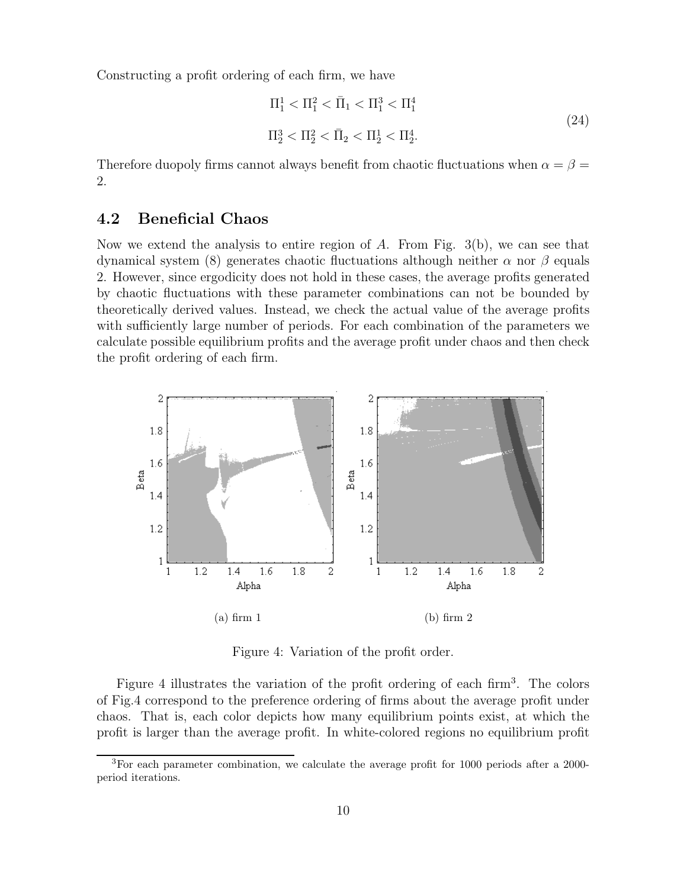Constructing a profit ordering of each firm, we have

$$
\Pi_1^1 < \Pi_1^2 < \bar{\Pi}_1 < \Pi_1^3 < \Pi_1^4
$$
\n
$$
\Pi_2^3 < \Pi_2^2 < \bar{\Pi}_2 < \Pi_2^1 < \Pi_2^4. \tag{24}
$$

Therefore duopoly firms cannot always benefit from chaotic fluctuations when  $\alpha = \beta =$ 2.

#### **4.2 Beneficial Chaos**

Now we extend the analysis to entire region of A. From Fig.  $3(b)$ , we can see that dynamical system (8) generates chaotic fluctuations although neither  $\alpha$  nor  $\beta$  equals 2. However, since ergodicity does not hold in these cases, the average profits generated by chaotic fluctuations with these parameter combinations can not be bounded by theoretically derived values. Instead, we check the actual value of the average profits with sufficiently large number of periods. For each combination of the parameters we calculate possible equilibrium profits and the average profit under chaos and then check the profit ordering of each firm.



Figure 4: Variation of the profit order.

Figure 4 illustrates the variation of the profit ordering of each firm<sup>3</sup>. The colors of Fig.4 correspond to the preference ordering of firms about the average profit under chaos. That is, each color depicts how many equilibrium points exist, at which the profit is larger than the average profit. In white-colored regions no equilibrium profit

 ${}^{3}$  For each parameter combination, we calculate the average profit for 1000 periods after a 2000period iterations.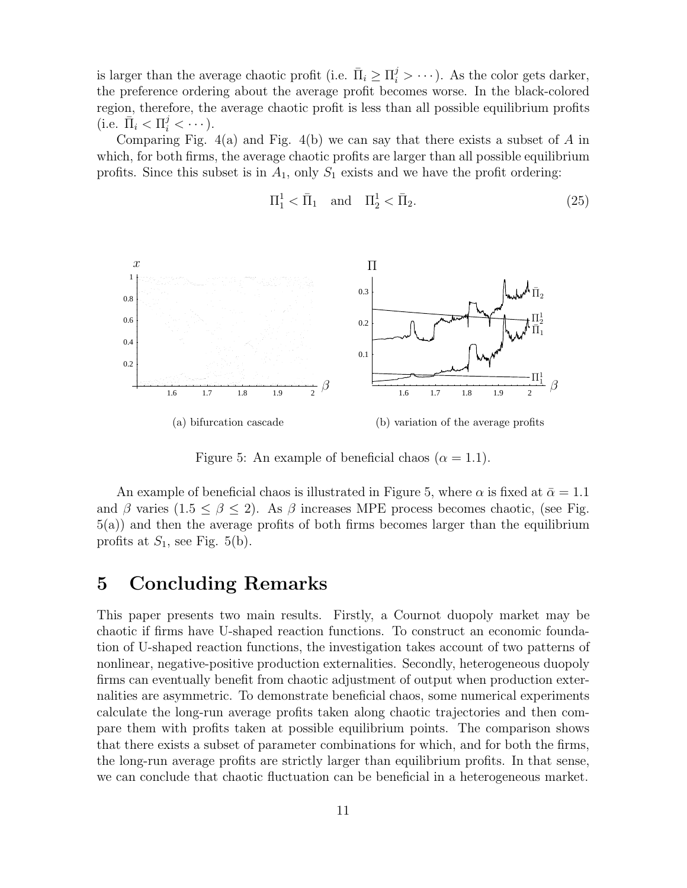is larger than the average chaotic profit (i.e.  $\bar{\Pi}_i \geq \Pi_i^j > \cdots$ ). As the color gets darker, the preference ordering about the average profit becomes worse. In the black-colored region, therefore, the average chaotic profit is less than all possible equilibrium profits (i.e.  $\bar{\Pi}_i < \Pi_i^j < \cdots$ ).

Comparing Fig.  $4(a)$  and Fig.  $4(b)$  we can say that there exists a subset of A in which, for both firms, the average chaotic profits are larger than all possible equilibrium profits. Since this subset is in  $A_1$ , only  $S_1$  exists and we have the profit ordering:

$$
\Pi_1^1 < \overline{\Pi}_1 \quad \text{and} \quad \Pi_2^1 < \overline{\Pi}_2. \tag{25}
$$



Figure 5: An example of beneficial chaos ( $\alpha = 1.1$ ).

An example of beneficial chaos is illustrated in Figure 5, where  $\alpha$  is fixed at  $\bar{\alpha} = 1.1$ and β varies (1.5  $\leq \beta \leq 2$ ). As β increases MPE process becomes chaotic, (see Fig. 5(a)) and then the average profits of both firms becomes larger than the equilibrium profits at  $S_1$ , see Fig. 5(b).

## **5 Concluding Remarks**

This paper presents two main results. Firstly, a Cournot duopoly market may be chaotic if firms have U-shaped reaction functions. To construct an economic foundation of U-shaped reaction functions, the investigation takes account of two patterns of nonlinear, negative-positive production externalities. Secondly, heterogeneous duopoly firms can eventually benefit from chaotic adjustment of output when production externalities are asymmetric. To demonstrate beneficial chaos, some numerical experiments calculate the long-run average profits taken along chaotic trajectories and then compare them with profits taken at possible equilibrium points. The comparison shows that there exists a subset of parameter combinations for which, and for both the firms, the long-run average profits are strictly larger than equilibrium profits. In that sense, we can conclude that chaotic fluctuation can be beneficial in a heterogeneous market.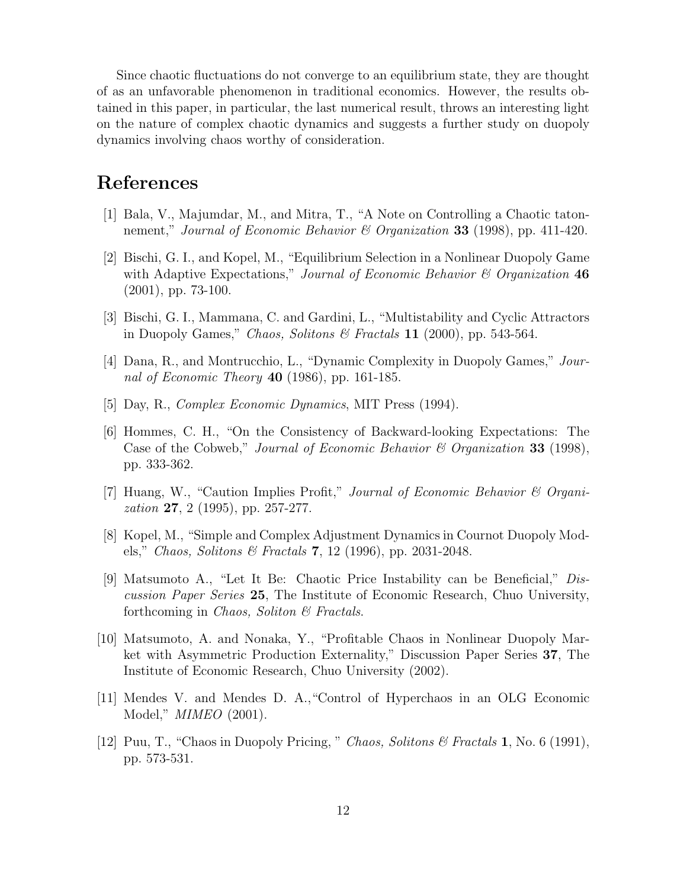Since chaotic fluctuations do not converge to an equilibrium state, they are thought of as an unfavorable phenomenon in traditional economics. However, the results obtained in this paper, in particular, the last numerical result, throws an interesting light on the nature of complex chaotic dynamics and suggests a further study on duopoly dynamics involving chaos worthy of consideration.

## **References**

- [1] Bala, V., Majumdar, M., and Mitra, T., "A Note on Controlling a Chaotic tatonnement," *Journal of Economic Behavior & Organization* **33** (1998), pp. 411-420.
- [2] Bischi, G. I., and Kopel, M., "Equilibrium Selection in a Nonlinear Duopoly Game with Adaptive Expectations," *Journal of Economic Behavior & Organization* **46** (2001), pp. 73-100.
- [3] Bischi, G. I., Mammana, C. and Gardini, L., "Multistability and Cyclic Attractors in Duopoly Games," *Chaos, Solitons & Fractals* **11** (2000), pp. 543-564.
- [4] Dana, R., and Montrucchio, L., "Dynamic Complexity in Duopoly Games," *Journal of Economic Theory* **40** (1986), pp. 161-185.
- [5] Day, R., *Complex Economic Dynamics*, MIT Press (1994).
- [6] Hommes, C. H., "On the Consistency of Backward-looking Expectations: The Case of the Cobweb," *Journal of Economic Behavior & Organization* **33** (1998), pp. 333-362.
- [7] Huang, W., "Caution Implies Profit," *Journal of Economic Behavior & Organization* **27**, 2 (1995), pp. 257-277.
- [8] Kopel, M., "Simple and Complex Adjustment Dynamics in Cournot Duopoly Models," *Chaos, Solitons & Fractals* **7**, 12 (1996), pp. 2031-2048.
- [9] Matsumoto A., "Let It Be: Chaotic Price Instability can be Beneficial," *Discussion Paper Series* **25**, The Institute of Economic Research, Chuo University, forthcoming in *Chaos, Soliton & Fractals*.
- [10] Matsumoto, A. and Nonaka, Y., "Profitable Chaos in Nonlinear Duopoly Market with Asymmetric Production Externality," Discussion Paper Series **37**, The Institute of Economic Research, Chuo University (2002).
- [11] Mendes V. and Mendes D. A.,"Control of Hyperchaos in an OLG Economic Model," *MIMEO* (2001).
- [12] Puu, T., "Chaos in Duopoly Pricing, " *Chaos, Solitons & Fractals* **1**, No. 6 (1991), pp. 573-531.